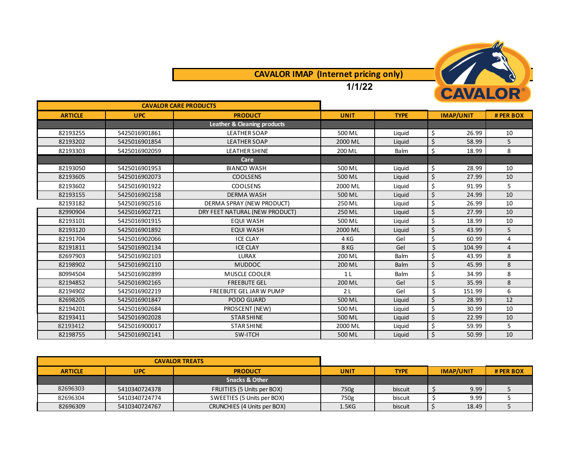

## **CAVALOR IMAP (Internet pricing only)**

**1/1/22**

| <b>CAVALOR CARE PRODUCTS</b> |               |                                |                |             |                  |                |
|------------------------------|---------------|--------------------------------|----------------|-------------|------------------|----------------|
| <b>ARTICLE</b>               | <b>UPC</b>    | <b>PRODUCT</b>                 | <b>UNIT</b>    | <b>TYPE</b> | <b>IMAP/UNIT</b> | # PER BOX      |
|                              |               | Leather & Cleaning products    |                |             |                  |                |
| 82193255                     | 5425016901861 | <b>LEATHER SOAP</b>            | 500 ML         | Liguid      | \$<br>26.99      | 10             |
| 82193202                     | 5425016901854 | <b>LEATHER SOAP</b>            | 2000 ML        | Liquid      | \$<br>58.99      | 5              |
| 82193303                     | 5425016902059 | <b>LEATHER SHINE</b>           | 200 ML         | Balm        | \$<br>18.99      | 8              |
|                              |               | Care                           |                |             |                  |                |
| 82193050                     | 5425016901953 | <b>BIANCO WASH</b>             | 500 ML         | Liquid      | \$<br>28.99      | 10             |
| 82193605                     | 5425016902073 | <b>COOLSENS</b>                | 500 ML         | Liquid      | \$<br>27.99      | 10             |
| 82193602                     | 5425016901922 | <b>COOLSENS</b>                | 2000 ML        | Liguid      | \$<br>91.99      | 5              |
| 82193155                     | 5425016902158 | <b>DERMA WASH</b>              | 500 ML         | Liquid      | \$<br>24.99      | 10             |
| 82193182                     | 5425016902516 | DERMA SPRAY (NEW PRODUCT)      | 250 ML         | Liquid      | \$<br>26.99      | 10             |
| 82990904                     | 5425016902721 | DRY FEET NATURAL (NEW PRODUCT) | 250 ML         | Liquid      | Ś.<br>27.99      | 10             |
| 82193101                     | 5425016901915 | <b>EQUI WASH</b>               | 500 ML         | Liquid      | \$<br>18.99      | 10             |
| 82193120                     | 5425016901892 | <b>EQUI WASH</b>               | 2000 ML        | Liquid      | \$<br>43.99      | 5              |
| 82191704                     | 5425016902066 | <b>ICE CLAY</b>                | 4 KG           | Gel         | \$<br>60.99      | 4              |
| 82191811                     | 5425016902134 | <b>ICE CLAY</b>                | 8 KG           | Gel         | \$<br>104.99     | $\overline{4}$ |
| 82697903                     | 5425016902103 | <b>LURAX</b>                   | 200 ML         | Balm        | \$<br>43.99      | 8              |
| 82198902                     | 5425016902110 | <b>MUDDOC</b>                  | 200 ML         | Balm        | Ś.<br>45.99      | 8              |
| 80994504                     | 5425016902899 | <b>MUSCLE COOLER</b>           | 1 <sub>L</sub> | Balm        | \$<br>34.99      | 8              |
| 82194852                     | 5425016902165 | <b>FREEBUTE GEL</b>            | 200 ML         | Gel         | Ś<br>35.99       | 8              |
| 82194902                     | 5425016902219 | <b>FREEBUTE GEL JAR W PUMP</b> | 2 <sub>L</sub> | Gel         | \$<br>151.99     | 6              |
| 82698205                     | 5425016901847 | PODO GUARD                     | 500 ML         | Liquid      | \$<br>28.99      | 12             |
| 82194201                     | 5425016902684 | PROSCENT (NEW)                 | 500 ML         | Liquid      | \$<br>30.99      | 10             |
| 82193411                     | 5425016902028 | <b>STAR SHINE</b>              | 500 ML         | Liquid      | Ś.<br>22.99      | 10             |
| 82193412                     | 5425016900017 | <b>STAR SHINE</b>              | 2000 ML        | Liquid      | \$<br>59.99      | 5              |
| 82198755                     | 5425016902141 | SW-ITCH                        | 500 ML         | Liquid      | \$<br>50.99      | 10             |

| <b>CAVALOR TREATS</b> |               |                             |                    |             |                  |       |           |
|-----------------------|---------------|-----------------------------|--------------------|-------------|------------------|-------|-----------|
| <b>ARTICLE</b>        | <b>UPC</b>    | <b>PRODUCT</b>              | <b>UNIT</b>        | <b>TYPE</b> | <b>IMAP/UNIT</b> |       | # PER BOX |
|                       |               | <b>Snacks &amp; Other</b>   |                    |             |                  |       |           |
| 82696303              | 5410340724378 | FRUITIES (5 Units per BOX)  | 750g               | biscuit     |                  | 9.99  |           |
| 82696304              | 5410340724774 | SWEETIES (5 Units per BOX)  | 750g               | biscuit     |                  | 9.99  |           |
| 82696309              | 5410340724767 | CRUNCHIES (4 Units per BOX) | 1.5 <sub>K</sub> G | biscuit     |                  | 18.49 |           |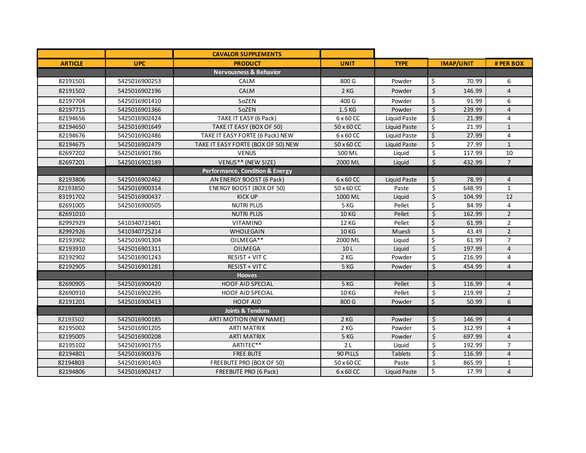|                |               | <b>CAVALOR SUPPLEMENTS</b>         |                 |                     |                                    |                 |
|----------------|---------------|------------------------------------|-----------------|---------------------|------------------------------------|-----------------|
| <b>ARTICLE</b> | <b>UPC</b>    | <b>PRODUCT</b>                     | <b>UNIT</b>     | <b>TYPE</b>         | <b>IMAP/UNIT</b>                   | # PER BOX       |
|                |               | <b>Nervousness &amp; Behavior</b>  |                 |                     |                                    |                 |
| 82191501       | 5425016900253 | CALM                               | 800 G           | Powder              | \$<br>70.99                        | 6               |
| 82191502       | 5425016902196 | <b>CALM</b>                        | 2KG             | Powder              | \$<br>146.99                       | $\overline{4}$  |
| 82197704       | 5425016901410 | SoZEN                              | 400 G           | Powder              | \$<br>91.99                        | 6               |
| 82197715       | 5425016901366 | SoZEN                              | 1.5 KG          | Powder              | $\varsigma$<br>239.99              | $\overline{4}$  |
| 82194656       | 5425016902424 | TAKE IT EASY (6 Pack)              | 6 x 60 CC       | Liquid Paste        | \$<br>21.99                        | 4               |
| 82194650       | 5425016901649 | TAKE IT EASY (BOX OF 50)           | 50 x 60 CC      | Liquid Paste        | \$<br>21.99                        | $\mathbf{1}$    |
| 82194676       | 5425016902486 | TAKE IT EASY FORTE (6 Pack) NEW    | 6 x 60 CC       | <b>Liquid Paste</b> | $\overline{\xi}$<br>27.99          | $\overline{4}$  |
| 82194675       | 5425016902479 | TAKE IT EASY FORTE (BOX OF 50) NEW | 50 x 60 CC      | Liquid Paste        | $\overline{\mathcal{S}}$<br>27.99  | $\mathbf{1}$    |
| 82697202       | 5425016901786 | <b>VENUS</b>                       | 500 ML          | Liquid              | $\overline{\mathcal{S}}$<br>117.99 | $\overline{10}$ |
| 82697201       | 5425016902189 | VENUS** (NEW SIZE)                 | 2000 ML         | Liquid              | $\zeta$<br>432.99                  | $\overline{7}$  |
|                |               | Performance, Condition & Energy    |                 |                     |                                    |                 |
| 82193806       | 5425016902462 | AN ENERGY BOOST (6 Pack)           | 6 x 60 CC       | <b>Liquid Paste</b> | \$<br>78.99                        | $\overline{4}$  |
| 82193850       | 5425016900314 | <b>ENERGY BOOST (BOX OF 50)</b>    | 50 x 60 CC      | Paste               | $\overline{\mathcal{S}}$<br>648.99 | $\mathbf{1}$    |
| 83191702       | 5425016900437 | <b>KICK UP</b>                     | 1000 ML         | Liquid              | \$<br>104.99                       | 12              |
| 82691005       | 5425016900505 | <b>NUTRI PLUS</b>                  | 5 KG            | Pellet              | \$<br>84.99                        | $\overline{4}$  |
| 82691010       |               | <b>NUTRI PLUS</b>                  | <b>10 KG</b>    | Pellet              | $\zeta$<br>162.99                  | $\overline{2}$  |
| 82992929       | 5410340723401 | VITAMINO                           | <b>12 KG</b>    | Pellet              | \$<br>61.99                        | $\overline{2}$  |
| 82992926       | 5410340725214 | <b>WHOLEGAIN</b>                   | <b>10 KG</b>    | Muesli              | \$<br>43.49                        | $\overline{2}$  |
| 82193902       | 5425016901304 | OILMEGA**                          | 2000 ML         | Liquid              | \$<br>61.99                        | $\overline{7}$  |
| 82193910       | 5425016901311 | <b>OILMEGA</b>                     | 10 <sub>L</sub> | Liquid              | \$<br>197.99                       | $\overline{4}$  |
| 82192902       | 5425016901243 | RESIST + VIT C                     | 2KG             | Powder              | $\overline{\xi}$<br>216.99         | 4               |
| 82192905       | 5425016901281 | RESIST + VITC                      | 5 KG            | Powder              | \$<br>454.99                       | $\overline{4}$  |
|                |               | <b>Hooves</b>                      |                 |                     |                                    |                 |
| 82690905       | 5425016900420 | <b>HOOF AID SPECIAL</b>            | 5 KG            | Pellet              | 116.99<br>\$                       | $\overline{4}$  |
| 82690910       | 5425016902295 | HOOF AID SPECIAL                   | <b>10 KG</b>    | Pellet              | $\overline{\mathcal{S}}$<br>219.99 | $\overline{2}$  |
| 82191201       | 5425016900413 | <b>HOOF AID</b>                    | 800 G           | Powder              | Ś.<br>50.99                        | 6               |
|                |               | <b>Joints &amp; Tendons</b>        |                 |                     |                                    |                 |
| 82193502       | 5425016900185 | ARTI MOTION (NEW NAME)             | 2KG             | Powder              | \$<br>146.99                       | $\overline{4}$  |
| 82195002       | 5425016901205 | <b>ARTI MATRIX</b>                 | 2KG             | Powder              | $\overline{\mathsf{S}}$<br>312.99  | $\overline{4}$  |
| 82195005       | 5425016900208 | <b>ARTI MATRIX</b>                 | 5 KG            | Powder              | $\overline{\xi}$<br>697.99         | $\overline{4}$  |
| 82195102       | 5425016901755 | ARTITEC**                          | 2L              | Liquid              | \$<br>192.99                       | $\overline{7}$  |
| 82194801       | 5425016900376 | <b>FREE BUTE</b>                   | 90 PILLS        | <b>Tablets</b>      | $\zeta$<br>116.99                  | $\overline{4}$  |
| 82194803       | 5425016901403 | FREEBUTE PRO (BOX OF 50)           | 50 x 60 CC      | Paste               | \$<br>865.99                       | $\mathbf{1}$    |
| 82194806       | 5425016902417 | FREEBUTE PRO (6 Pack)              | 6 x 60 CC       | Liquid Paste        | \$<br>17.99                        | $\overline{4}$  |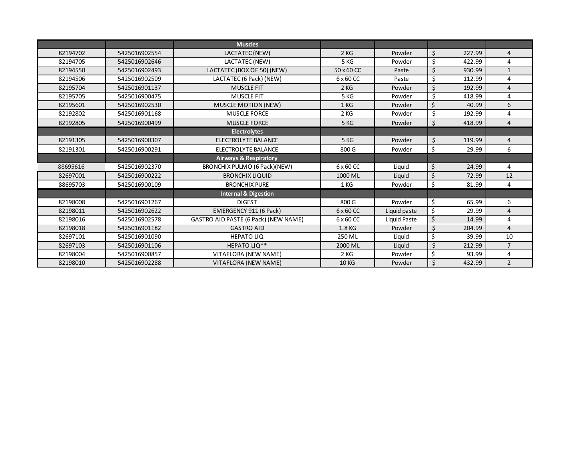|          |               | <b>Muscles</b>                              |              |              |                        |        |                |
|----------|---------------|---------------------------------------------|--------------|--------------|------------------------|--------|----------------|
| 82194702 | 5425016902554 | LACTATEC (NEW)                              | 2KG          | Powder       | \$                     | 227.99 | $\overline{4}$ |
| 82194705 | 5425016902646 | LACTATEC (NEW)                              | 5 KG         | Powder       | \$                     | 422.99 | 4              |
| 82194550 | 5425016902493 | LACTATEC (BOX OF 50) (NEW)                  | 50 x 60 CC   | Paste        | \$                     | 930.99 | $\mathbf{1}$   |
| 82194506 | 5425016902509 | LACTATEC (6 Pack) (NEW)                     | 6 x 60 CC    | Paste        | \$                     | 112.99 | 4              |
| 82195704 | 5425016901137 | <b>MUSCLE FIT</b>                           | 2KG          | Powder       | $\overline{\varsigma}$ | 192.99 | $\overline{4}$ |
| 82195705 | 5425016900475 | <b>MUSCLE FIT</b>                           | 5 KG         | Powder       | \$                     | 418.99 | 4              |
| 82195601 | 5425016902530 | <b>MUSCLE MOTION (NEW)</b>                  | 1 KG         | Powder       | $\zeta$                | 40.99  | 6              |
| 82192802 | 5425016901168 | <b>MUSCLE FORCE</b>                         | 2KG          | Powder       | \$                     | 192.99 | 4              |
| 82192805 | 5425016900499 | <b>MUSCLE FORCE</b>                         | 5 KG         | Powder       | \$                     | 418.99 | $\overline{4}$ |
|          |               | <b>Electrolytes</b>                         |              |              |                        |        |                |
| 82191305 | 5425016900307 | ELECTROLYTE BALANCE                         | 5 KG         | Powder       | \$                     | 119.99 | $\overline{4}$ |
| 82191301 | 5425016900291 | ELECTROLYTE BALANCE                         | 800 G        | Powder       | \$                     | 29.99  | 6              |
|          |               | <b>Airways &amp; Respiratory</b>            |              |              |                        |        |                |
| 88695616 | 5425016902370 | BRONCHIX PULMO (6 Pack)(NEW)                | 6 x 60 CC    | Liquid       | \$                     | 24.99  | 4              |
| 82697001 | 5425016900222 | <b>BRONCHIX LIQUID</b>                      | 1000 ML      | Liquid       | \$                     | 72.99  | 12             |
| 88695703 | 5425016900109 | <b>BRONCHIX PURE</b>                        | 1 KG         | Powder       | \$                     | 81.99  | 4              |
|          |               | <b>Internal &amp; Digestion</b>             |              |              |                        |        |                |
| 82198008 | 5425016901267 | <b>DIGEST</b>                               | 800 G        | Powder       | \$                     | 65.99  | 6              |
| 82198011 | 5425016902622 | EMERGENCY 911 (6 Pack)                      | 6 x 60 CC    | Liquid paste | \$                     | 29.99  | 4              |
| 82198016 | 5425016902578 | <b>GASTRO AID PASTE (6 Pack) (NEW NAME)</b> | 6 x 60 CC    | Liquid Paste | $\zeta$                | 14.99  | 4              |
| 82198018 | 5425016901182 | <b>GASTRO AID</b>                           | 1.8 KG       | Powder       | \$                     | 204.99 | $\overline{4}$ |
| 82697101 | 5425016901090 | <b>HEPATO LIQ</b>                           | 250 ML       | Liquid       | \$                     | 39.99  | 10             |
| 82697103 | 5425016901106 | HEPATO LIQ**                                | 2000 ML      | Liquid       | \$                     | 212.99 | $\overline{7}$ |
| 82198004 | 5425016900857 | VITAFLORA (NEW NAME)                        | 2KG          | Powder       | \$                     | 93.99  | 4              |
| 82198010 | 5425016902288 | VITAFLORA (NEW NAME)                        | <b>10 KG</b> | Powder       | \$                     | 432.99 | $\overline{2}$ |